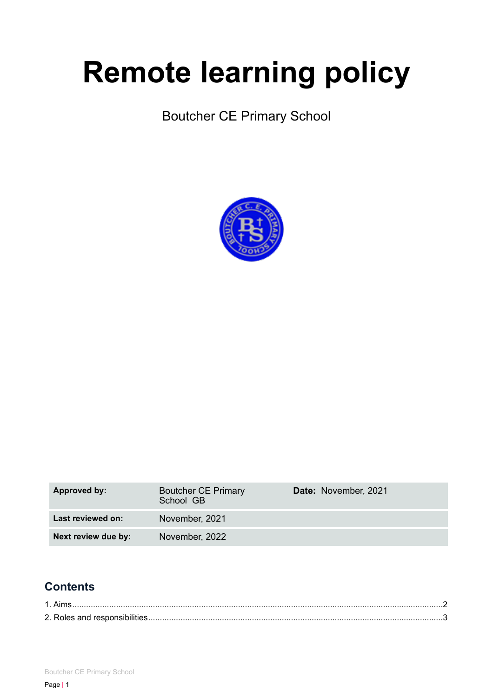# **Remote learning policy**

Boutcher CE Primary School



| Approved by:        | <b>Boutcher CE Primary</b><br>School GB | Date: November, 2021 |
|---------------------|-----------------------------------------|----------------------|
| Last reviewed on:   | November, 2021                          |                      |
| Next review due by: | November, 2022                          |                      |

## **Contents**

| 1. Aims. |  |
|----------|--|
|          |  |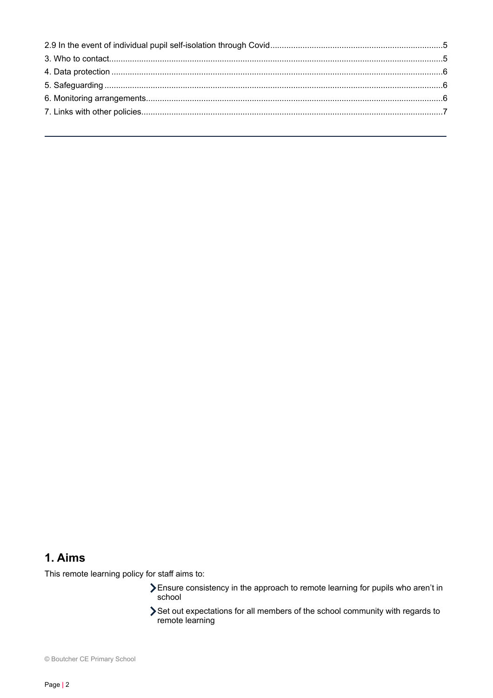## <span id="page-1-0"></span>**1. Aims**

This remote learning policy for staff aims to:

- Ensure consistency in the approach to remote learning for pupils who aren't in school
- Set out expectations for all members of the school community with regards to remote learning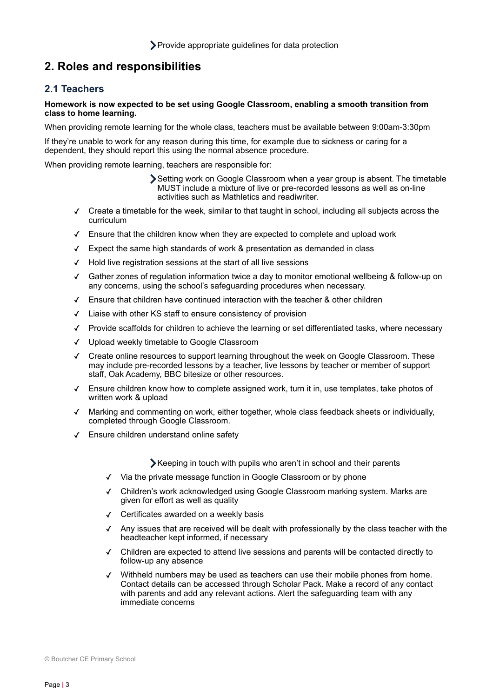## <span id="page-2-0"></span>**2. Roles and responsibilities**

#### **2.1 Teachers**

#### **Homework is now expected to be set using Google Classroom, enabling a smooth transition from class to home learning.**

When providing remote learning for the whole class, teachers must be available between 9:00am-3:30pm

If they're unable to work for any reason during this time, for example due to sickness or caring for a dependent, they should report this using the normal absence procedure.

When providing remote learning, teachers are responsible for:

- Setting work on Google Classroom when a year group is absent. The timetable MUST include a mixture of live or pre-recorded lessons as well as on-line activities such as Mathletics and readiwriter.
- ✓ Create a timetable for the week, similar to that taught in school, including all subjects across the curriculum
- ✓ Ensure that the children know when they are expected to complete and upload work
- ✓ Expect the same high standards of work & presentation as demanded in class
- ✓ Hold live registration sessions at the start of all live sessions
- ✓ Gather zones of regulation information twice a day to monitor emotional wellbeing & follow-up on any concerns, using the school's safeguarding procedures when necessary.
- ✓ Ensure that children have continued interaction with the teacher & other children
- ✓ Liaise with other KS staff to ensure consistency of provision
- ✓ Provide scaffolds for children to achieve the learning or set differentiated tasks, where necessary
- ✓ Upload weekly timetable to Google Classroom
- ✓ Create online resources to support learning throughout the week on Google Classroom. These may include pre-recorded lessons by a teacher, live lessons by teacher or member of support staff, Oak Academy, BBC bitesize or other resources.
- ✓ Ensure children know how to complete assigned work, turn it in, use templates, take photos of written work & upload
- ✓ Marking and commenting on work, either together, whole class feedback sheets or individually, completed through Google Classroom.
- ✓ Ensure children understand online safety

Keeping in touch with pupils who aren't in school and their parents

- ✓ Via the private message function in Google Classroom or by phone
- ✓ Children's work acknowledged using Google Classroom marking system. Marks are given for effort as well as quality
- ✓ Certificates awarded on a weekly basis
- ✓ Any issues that are received will be dealt with professionally by the class teacher with the headteacher kept informed, if necessary
- ✓ Children are expected to attend live sessions and parents will be contacted directly to follow-up any absence
- ✓ Withheld numbers may be used as teachers can use their mobile phones from home. Contact details can be accessed through Scholar Pack. Make a record of any contact with parents and add any relevant actions. Alert the safeguarding team with any immediate concerns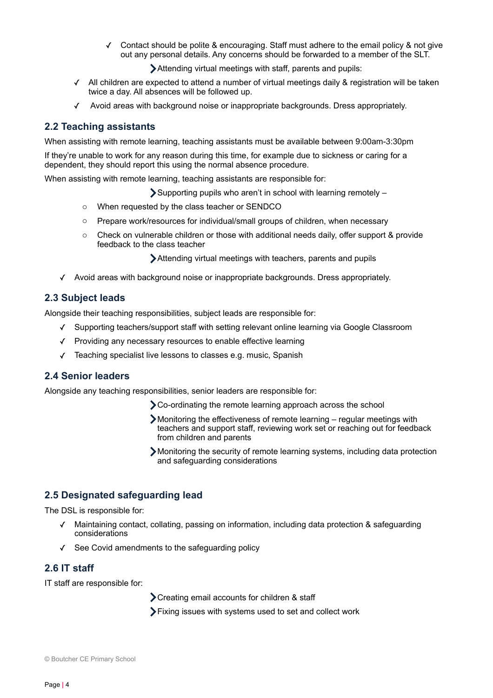Contact should be polite & encouraging. Staff must adhere to the email policy & not give out any personal details. Any concerns should be forwarded to a member of the SLT.

Attending virtual meetings with staff, parents and pupils:

- ✓ All children are expected to attend a number of virtual meetings daily & registration will be taken twice a day. All absences will be followed up.
- ✓ Avoid areas with background noise or inappropriate backgrounds. Dress appropriately.

#### **2.2 Teaching assistants**

When assisting with remote learning, teaching assistants must be available between 9:00am-3:30pm

If they're unable to work for any reason during this time, for example due to sickness or caring for a dependent, they should report this using the normal absence procedure.

When assisting with remote learning, teaching assistants are responsible for:

Supporting pupils who aren't in school with learning remotely –

- o When requested by the class teacher or SENDCO
- o Prepare work/resources for individual/small groups of children, when necessary
- $\circ$  Check on vulnerable children or those with additional needs daily, offer support & provide feedback to the class teacher

Attending virtual meetings with teachers, parents and pupils

✓ Avoid areas with background noise or inappropriate backgrounds. Dress appropriately.

#### **2.3 Subject leads**

Alongside their teaching responsibilities, subject leads are responsible for:

- ✓ Supporting teachers/support staff with setting relevant online learning via Google Classroom
- ✓ Providing any necessary resources to enable effective learning
- ✓ Teaching specialist live lessons to classes e.g. music, Spanish

#### **2.4 Senior leaders**

Alongside any teaching responsibilities, senior leaders are responsible for:

- Co-ordinating the remote learning approach across the school
- Monitoring the effectiveness of remote learning regular meetings with teachers and support staff, reviewing work set or reaching out for feedback from children and parents
- Monitoring the security of remote learning systems, including data protection and safeguarding considerations

#### **2.5 Designated safeguarding lead**

The DSL is responsible for:

- ✓ Maintaining contact, collating, passing on information, including data protection & safeguarding considerations
- ✓ See Covid amendments to the safeguarding policy

#### **2.6 IT staff**

IT staff are responsible for:

**>**Creating email accounts for children & staff

Fixing issues with systems used to set and collect work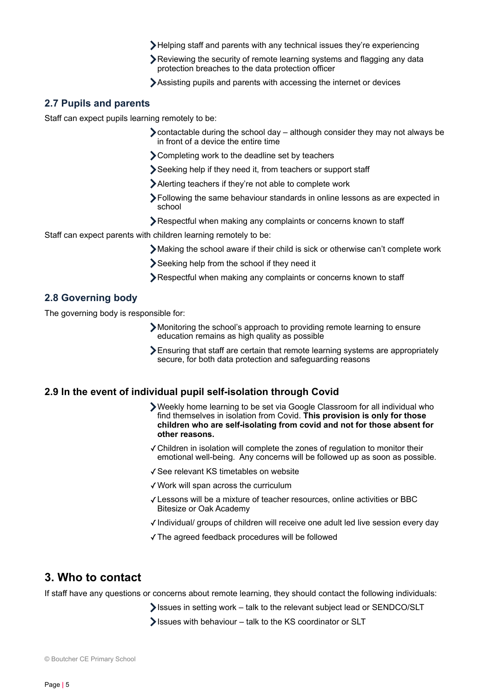- Helping staff and parents with any technical issues they're experiencing
- Reviewing the security of remote learning systems and flagging any data protection breaches to the data protection officer
- Assisting pupils and parents with accessing the internet or devices

#### **2.7 Pupils and parents**

Staff can expect pupils learning remotely to be:

- $\sum$  contactable during the school day although consider they may not always be in front of a device the entire time
- Completing work to the deadline set by teachers
- Seeking help if they need it, from teachers or support staff
- Alerting teachers if they're not able to complete work
- Following the same behaviour standards in online lessons as are expected in school
- Respectful when making any complaints or concerns known to staff

Staff can expect parents with children learning remotely to be:

- Making the school aware if their child is sick or otherwise can't complete work
- Seeking help from the school if they need it
- Respectful when making any complaints or concerns known to staff

#### **2.8 Governing body**

The governing body is responsible for:

- Monitoring the school's approach to providing remote learning to ensure education remains as high quality as possible
- Ensuring that staff are certain that remote learning systems are appropriately secure, for both data protection and safeguarding reasons

#### <span id="page-4-0"></span>**2.9 In the event of individual pupil self-isolation through Covid**

- Weekly home learning to be set via Google Classroom for all individual who find themselves in isolation from Covid. **This provision is only for those children who are self-isolating from covid and not for those absent for other reasons.**
- ✓Children in isolation will complete the zones of regulation to monitor their emotional well-being. Any concerns will be followed up as soon as possible.
- ✓See relevant KS timetables on website
- ✓Work will span across the curriculum
- ✓Lessons will be a mixture of teacher resources, online activities or BBC Bitesize or Oak Academy
- ✓Individual/ groups of children will receive one adult led live session every day
- ✓The agreed feedback procedures will be followed

#### <span id="page-4-1"></span>**3. Who to contact**

If staff have any questions or concerns about remote learning, they should contact the following individuals:

- Issues in setting work talk to the relevant subject lead or SENDCO/SLT
- Issues with behaviour talk to the KS coordinator or SLT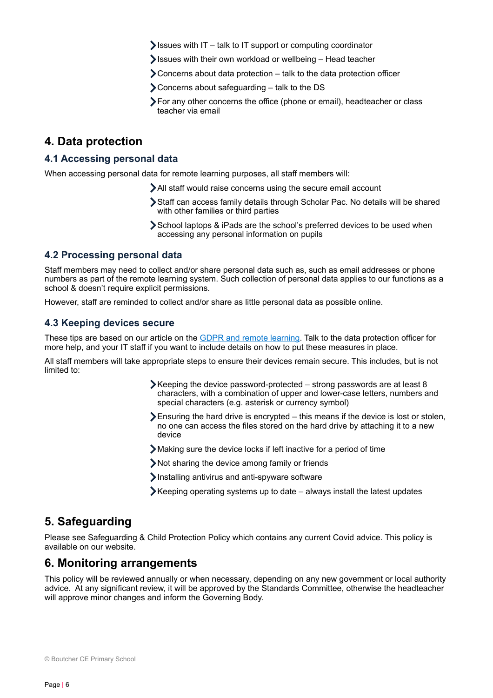- Sissues with  $IT talk$  to IT support or computing coordinator
- Issues with their own workload or wellbeing Head teacher
- Concerns about data protection talk to the data protection officer
- Concerns about safeguarding talk to the DS
- For any other concerns the office (phone or email), headteacher or class teacher via email

### <span id="page-5-0"></span>**4. Data protection**

#### **4.1 Accessing personal data**

When accessing personal data for remote learning purposes, all staff members will:

- All staff would raise concerns using the secure email account
- Staff can access family details through Scholar Pac. No details will be shared with other families or third parties
- School laptops & iPads are the school's preferred devices to be used when accessing any personal information on pupils

#### **4.2 Processing personal data**

Staff members may need to collect and/or share personal data such as, such as email addresses or phone numbers as part of the remote learning system. Such collection of personal data applies to our functions as a school & doesn't require explicit permissions.

However, staff are reminded to collect and/or share as little personal data as possible online.

#### **4.3 Keeping devices secure**

These tips are based on our article on the [GDPR and remote learning.](https://schoolleaders.thekeysupport.com/uid/a4f9d627-575d-45f5-9367-040b246c213c/) Talk to the data protection officer for more help, and your IT staff if you want to include details on how to put these measures in place.

All staff members will take appropriate steps to ensure their devices remain secure. This includes, but is not limited to:

- Keeping the device password-protected strong passwords are at least 8 characters, with a combination of upper and lower-case letters, numbers and special characters (e.g. asterisk or currency symbol)
- $\sum$  Ensuring the hard drive is encrypted this means if the device is lost or stolen, no one can access the files stored on the hard drive by attaching it to a new device
- Making sure the device locks if left inactive for a period of time
- Not sharing the device among family or friends
- Installing antivirus and anti-spyware software
- Keeping operating systems up to date always install the latest updates

## <span id="page-5-1"></span>**5. Safeguarding**

Please see Safeguarding & Child Protection Policy which contains any current Covid advice. This policy is available on our website.

#### <span id="page-5-2"></span>**6. Monitoring arrangements**

This policy will be reviewed annually or when necessary, depending on any new government or local authority advice. At any significant review, it will be approved by the Standards Committee, otherwise the headteacher will approve minor changes and inform the Governing Body.